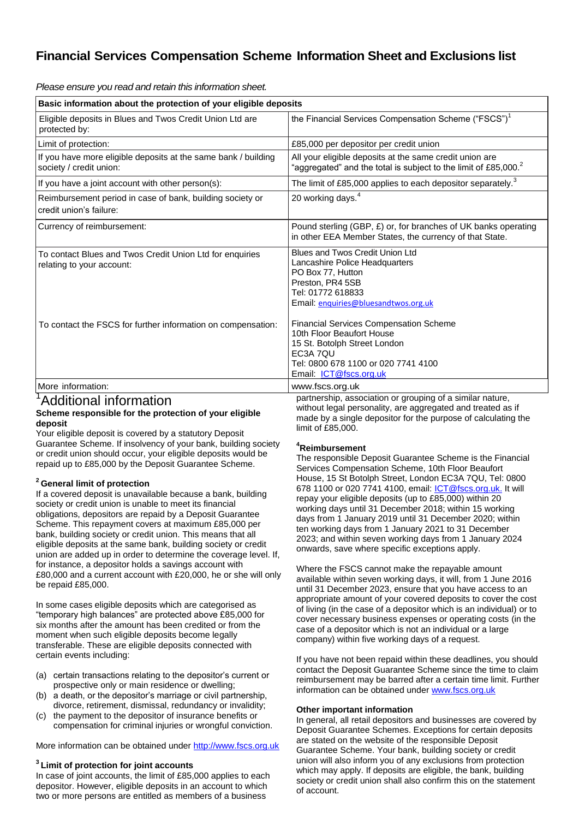## **Financial Services Compensation Scheme Information Sheet and Exclusions list**

*Please ensure you read and retain this information sheet.*

| Basic information about the protection of your eligible deposits                                                                                                                                                                                                                                                                                                                                                                                                                                                                                                                                                           |                                                                                                                                                                                                                                                                                                                                                                                                                                                                                                                                    |
|----------------------------------------------------------------------------------------------------------------------------------------------------------------------------------------------------------------------------------------------------------------------------------------------------------------------------------------------------------------------------------------------------------------------------------------------------------------------------------------------------------------------------------------------------------------------------------------------------------------------------|------------------------------------------------------------------------------------------------------------------------------------------------------------------------------------------------------------------------------------------------------------------------------------------------------------------------------------------------------------------------------------------------------------------------------------------------------------------------------------------------------------------------------------|
| Eligible deposits in Blues and Twos Credit Union Ltd are<br>protected by:                                                                                                                                                                                                                                                                                                                                                                                                                                                                                                                                                  | the Financial Services Compensation Scheme ("FSCS") <sup>1</sup>                                                                                                                                                                                                                                                                                                                                                                                                                                                                   |
| Limit of protection:                                                                                                                                                                                                                                                                                                                                                                                                                                                                                                                                                                                                       | £85,000 per depositor per credit union                                                                                                                                                                                                                                                                                                                                                                                                                                                                                             |
| If you have more eligible deposits at the same bank / building<br>society / credit union:                                                                                                                                                                                                                                                                                                                                                                                                                                                                                                                                  | All your eligible deposits at the same credit union are<br>"aggregated" and the total is subject to the limit of £85,000. <sup>2</sup>                                                                                                                                                                                                                                                                                                                                                                                             |
| If you have a joint account with other person(s):                                                                                                                                                                                                                                                                                                                                                                                                                                                                                                                                                                          | The limit of £85,000 applies to each depositor separately. $^3$                                                                                                                                                                                                                                                                                                                                                                                                                                                                    |
| Reimbursement period in case of bank, building society or<br>credit union's failure:                                                                                                                                                                                                                                                                                                                                                                                                                                                                                                                                       | 20 working days. <sup>4</sup>                                                                                                                                                                                                                                                                                                                                                                                                                                                                                                      |
| Currency of reimbursement:                                                                                                                                                                                                                                                                                                                                                                                                                                                                                                                                                                                                 | Pound sterling (GBP, £) or, for branches of UK banks operating<br>in other EEA Member States, the currency of that State.                                                                                                                                                                                                                                                                                                                                                                                                          |
| To contact Blues and Twos Credit Union Ltd for enquiries<br>relating to your account:                                                                                                                                                                                                                                                                                                                                                                                                                                                                                                                                      | Blues and Twos Credit Union Ltd<br>Lancashire Police Headquarters<br>PO Box 77, Hutton<br>Preston, PR4 5SB<br>Tel: 01772 618833<br>Email: enquiries@bluesandtwos.org.uk                                                                                                                                                                                                                                                                                                                                                            |
| To contact the FSCS for further information on compensation:                                                                                                                                                                                                                                                                                                                                                                                                                                                                                                                                                               | <b>Financial Services Compensation Scheme</b><br>10th Floor Beaufort House<br>15 St. Botolph Street London<br>EC3A 7QU<br>Tel: 0800 678 1100 or 020 7741 4100<br>Email: <b>ICT@fscs.org.uk</b>                                                                                                                                                                                                                                                                                                                                     |
| More information:                                                                                                                                                                                                                                                                                                                                                                                                                                                                                                                                                                                                          | www.fscs.org.uk                                                                                                                                                                                                                                                                                                                                                                                                                                                                                                                    |
| <sup>1</sup> Additional information<br>Scheme responsible for the protection of your eligible<br>deposit<br>Your eligible deposit is covered by a statutory Deposit<br>Guarantee Scheme. If insolvency of your bank, building society<br>or credit union should occur, your eligible deposits would be<br>repaid up to £85,000 by the Deposit Guarantee Scheme.                                                                                                                                                                                                                                                            | partnership, association or grouping of a similar nature,<br>without legal personality, are aggregated and treated as if<br>made by a single depositor for the purpose of calculating the<br>limit of £85,000.<br><sup>4</sup> Reimbursement<br>The responsible Deposit Guarantee Scheme is the Financial<br>Services Compensation Scheme, 10th Floor Beaufort                                                                                                                                                                     |
| <sup>2</sup> General limit of protection<br>If a covered deposit is unavailable because a bank, building<br>society or credit union is unable to meet its financial<br>obligations, depositors are repaid by a Deposit Guarantee<br>Scheme. This repayment covers at maximum £85,000 per<br>bank, building society or credit union. This means that all<br>eligible deposits at the same bank, building society or credit<br>union are added up in order to determine the coverage level. If,<br>for instance, a depositor holds a savings account with<br>£80,000 and a current account with £20,000, he or she will only | House, 15 St Botolph Street, London EC3A 7QU, Tel: 0800<br>678 1100 or 020 7741 4100, email: <i>ICT@fscs.org.uk.</i> It will<br>repay your eligible deposits (up to £85,000) within 20<br>working days until 31 December 2018; within 15 working<br>days from 1 January 2019 until 31 December 2020; within<br>ten working days from 1 January 2021 to 31 December<br>2023; and within seven working days from 1 January 2024<br>onwards, save where specific exceptions apply.<br>Where the FSCS cannot make the repayable amount |
| be repaid £85,000.<br>In some cases eligible deposits which are categorised as<br>"temporary high balances" are protected above £85,000 for<br>six months after the amount has been credited or from the<br>moment when such eligible deposits become legally<br>transferable. These are eligible deposits connected with<br>certain events including:                                                                                                                                                                                                                                                                     | available within seven working days, it will, from 1 June 2016<br>until 31 December 2023, ensure that you have access to an<br>appropriate amount of your covered deposits to cover the cost<br>of living (in the case of a depositor which is an individual) or to<br>cover necessary business expenses or operating costs (in the<br>case of a depositor which is not an individual or a large<br>company) within five working days of a request.                                                                                |
| (a) certain transactions relating to the depositor's current or<br>prospective only or main residence or dwelling;<br>(b) a death, or the depositor's marriage or civil partnership,<br>divorce, retirement, dismissal, redundancy or invalidity;                                                                                                                                                                                                                                                                                                                                                                          | If you have not been repaid within these deadlines, you should<br>contact the Deposit Guarantee Scheme since the time to claim<br>reimbursement may be barred after a certain time limit. Further<br>information can be obtained under www.fscs.org.uk<br>Othar imnartant infarmation                                                                                                                                                                                                                                              |

(c) the payment to the depositor of insurance benefits or compensation for criminal injuries or wrongful conviction.

More information can be obtained under [http://www.fscs.org.uk](http://www.fscs.org.uk/)

## **3 Limit of protection for joint accounts**

In case of joint accounts, the limit of £85,000 applies to each depositor. However, eligible deposits in an account to which two or more persons are entitled as members of a business

## **Other important information**

In general, all retail depositors and businesses are covered by Deposit Guarantee Schemes. Exceptions for certain deposits are stated on the website of the responsible Deposit Guarantee Scheme. Your bank, building society or credit union will also inform you of any exclusions from protection which may apply. If deposits are eligible, the bank, building society or credit union shall also confirm this on the statement of account.